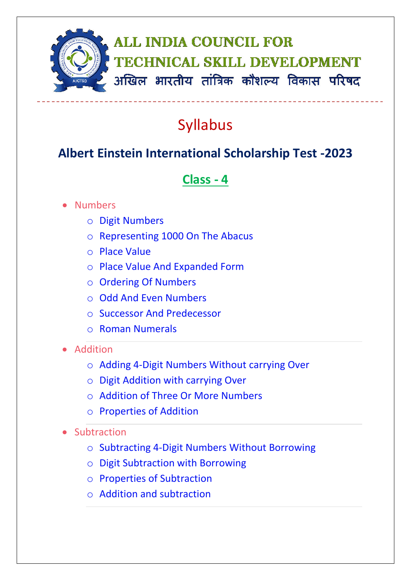

## Syllabus

## **Albert Einstein International Scholarship Test -2023**

## **Class - 4**

## • Numbers

- o Digit Numbers
- o Representing 1000 On The Abacus
- o Place Value
- o Place Value And Expanded Form
- o Ordering Of Numbers
- o Odd And Even Numbers
- o Successor And Predecessor
- o Roman Numerals
- Addition
	- o Adding 4-Digit Numbers Without carrying Over
	- o Digit Addition with carrying Over
	- o Addition of Three Or More Numbers
	- o Properties of Addition
- Subtraction
	- o Subtracting 4-Digit Numbers Without Borrowing
	- o Digit Subtraction with Borrowing
	- o Properties of Subtraction
	- o Addition and subtraction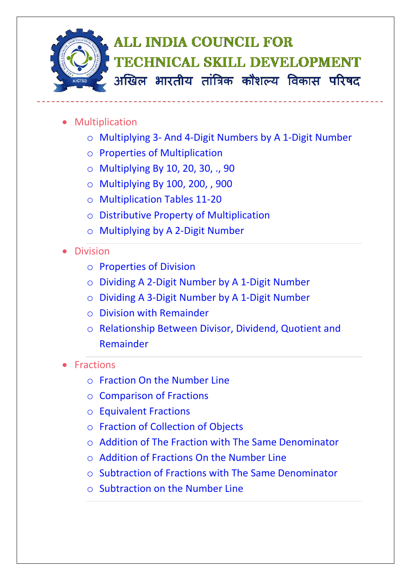

- **•** Multiplication
	- o Multiplying 3- And 4-Digit Numbers by A 1-Digit Number
	- o Properties of Multiplication
	- o Multiplying By 10, 20, 30, ., 90
	- o Multiplying By 100, 200, , 900
	- o Multiplication Tables 11-20
	- o Distributive Property of Multiplication
	- o Multiplying by A 2-Digit Number
- Division
	- o Properties of Division
	- o Dividing A 2-Digit Number by A 1-Digit Number
	- o Dividing A 3-Digit Number by A 1-Digit Number
	- o Division with Remainder
	- o Relationship Between Divisor, Dividend, Quotient and Remainder
- **Fractions** 
	- o Fraction On the Number Line
	- o Comparison of Fractions
	- o Equivalent Fractions
	- o Fraction of Collection of Objects
	- $\circ$  Addition of The Fraction with The Same Denominator
	- $\circ$  Addition of Fractions On the Number Line
	- o Subtraction of Fractions with The Same Denominator
	- o Subtraction on the Number Line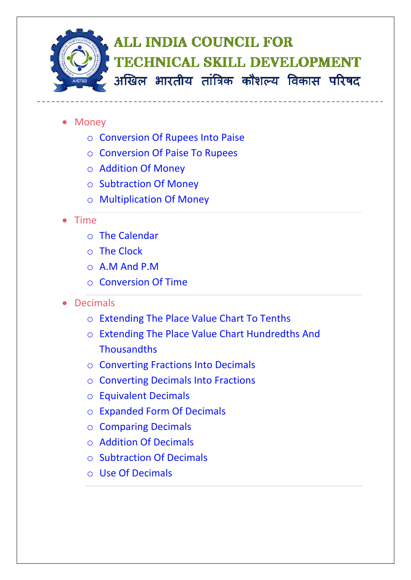

- Money
	- o Conversion Of Rupees Into Paise
	- o Conversion Of Paise To Rupees
	- o Addition Of Money
	- o Subtraction Of Money
	- o Multiplication Of Money
- Time
	- o The Calendar
	- o The Clock
	- o A.M And P.M
	- o Conversion Of Time
- Decimals
	- o Extending The Place Value Chart To Tenths
	- o Extending The Place Value Chart Hundredths And **Thousandths**
	- o Converting Fractions Into Decimals
	- o Converting Decimals Into Fractions
	- o Equivalent Decimals
	- o Expanded Form Of Decimals
	- o Comparing Decimals
	- o Addition Of Decimals
	- o Subtraction Of Decimals
	- o Use Of Decimals